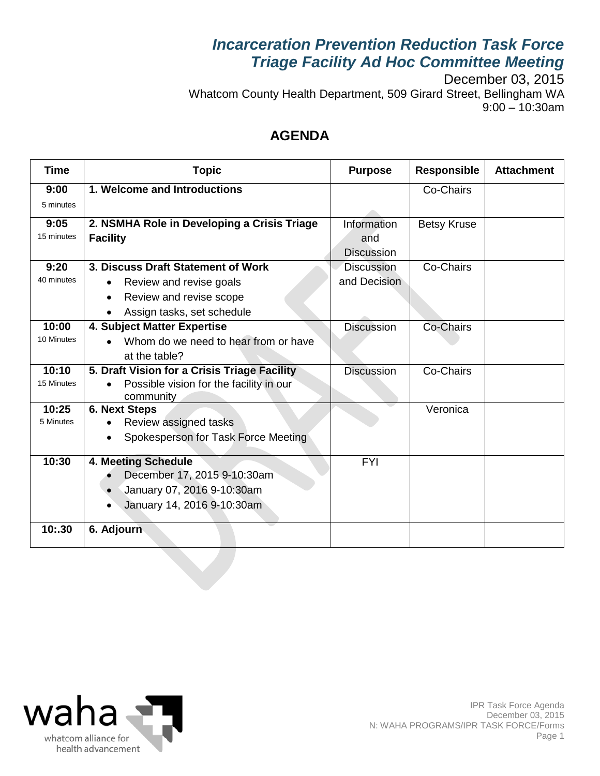## *Incarceration Prevention Reduction Task Force Triage Facility Ad Hoc Committee Meeting*

December 03, 2015 Whatcom County Health Department, 509 Girard Street, Bellingham WA 9:00 – 10:30am

### **AGENDA**

| <b>Time</b> | <b>Topic</b>                                 | <b>Purpose</b>    | <b>Responsible</b> | <b>Attachment</b> |
|-------------|----------------------------------------------|-------------------|--------------------|-------------------|
| 9:00        | 1. Welcome and Introductions                 |                   | Co-Chairs          |                   |
| 5 minutes   |                                              |                   |                    |                   |
| 9:05        | 2. NSMHA Role in Developing a Crisis Triage  | Information       | <b>Betsy Kruse</b> |                   |
| 15 minutes  | <b>Facility</b>                              | and               |                    |                   |
|             |                                              | <b>Discussion</b> |                    |                   |
| 9:20        | 3. Discuss Draft Statement of Work           | <b>Discussion</b> | Co-Chairs          |                   |
| 40 minutes  | Review and revise goals                      | and Decision      |                    |                   |
|             | Review and revise scope<br>$\bullet$         |                   |                    |                   |
|             | Assign tasks, set schedule<br>$\bullet$      |                   |                    |                   |
| 10:00       | 4. Subject Matter Expertise                  | <b>Discussion</b> | Co-Chairs          |                   |
| 10 Minutes  | Whom do we need to hear from or have         |                   |                    |                   |
|             | at the table?                                |                   |                    |                   |
| 10:10       | 5. Draft Vision for a Crisis Triage Facility | <b>Discussion</b> | Co-Chairs          |                   |
| 15 Minutes  | Possible vision for the facility in our      |                   |                    |                   |
|             | community                                    |                   |                    |                   |
| 10:25       | <b>6. Next Steps</b>                         |                   | Veronica           |                   |
| 5 Minutes   | Review assigned tasks                        |                   |                    |                   |
|             | Spokesperson for Task Force Meeting          |                   |                    |                   |
| 10:30       | 4. Meeting Schedule                          | <b>FYI</b>        |                    |                   |
|             | December 17, 2015 9-10:30am                  |                   |                    |                   |
|             | January 07, 2016 9-10:30am                   |                   |                    |                   |
|             | January 14, 2016 9-10:30am<br>$\bullet$      |                   |                    |                   |
|             |                                              |                   |                    |                   |
| 10:30       | 6. Adjourn                                   |                   |                    |                   |
|             |                                              |                   |                    |                   |

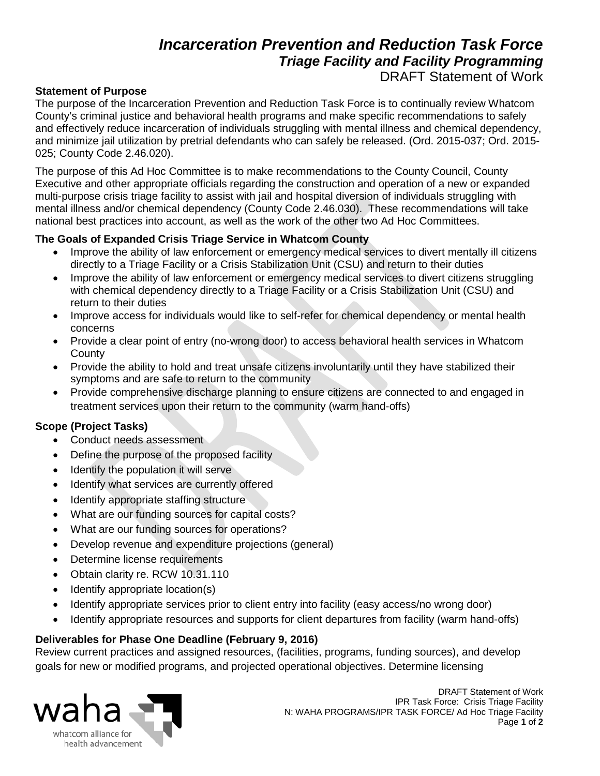### *Incarceration Prevention and Reduction Task Force Triage Facility and Facility Programming* DRAFT Statement of Work

#### **Statement of Purpose**

The purpose of the Incarceration Prevention and Reduction Task Force is to continually review Whatcom County's criminal justice and behavioral health programs and make specific recommendations to safely and effectively reduce incarceration of individuals struggling with mental illness and chemical dependency, and minimize jail utilization by pretrial defendants who can safely be released. (Ord. 2015-037; Ord. 2015- 025; County Code 2.46.020).

The purpose of this Ad Hoc Committee is to make recommendations to the County Council, County Executive and other appropriate officials regarding the construction and operation of a new or expanded multi-purpose crisis triage facility to assist with jail and hospital diversion of individuals struggling with mental illness and/or chemical dependency (County Code 2.46.030). These recommendations will take national best practices into account, as well as the work of the other two Ad Hoc Committees.

#### **The Goals of Expanded Crisis Triage Service in Whatcom County**

- Improve the ability of law enforcement or emergency medical services to divert mentally ill citizens directly to a Triage Facility or a Crisis Stabilization Unit (CSU) and return to their duties
- Improve the ability of law enforcement or emergency medical services to divert citizens struggling with chemical dependency directly to a Triage Facility or a Crisis Stabilization Unit (CSU) and return to their duties
- Improve access for individuals would like to self-refer for chemical dependency or mental health concerns
- Provide a clear point of entry (no-wrong door) to access behavioral health services in Whatcom **County**
- Provide the ability to hold and treat unsafe citizens involuntarily until they have stabilized their symptoms and are safe to return to the community
- Provide comprehensive discharge planning to ensure citizens are connected to and engaged in treatment services upon their return to the community (warm hand-offs)

#### **Scope (Project Tasks)**

- Conduct needs assessment
- Define the purpose of the proposed facility
- Identify the population it will serve
- Identify what services are currently offered
- Identify appropriate staffing structure
- What are our funding sources for capital costs?
- What are our funding sources for operations?
- Develop revenue and expenditure projections (general)
- Determine license requirements
- Obtain clarity re. RCW 10.31.110
- Identify appropriate location(s)
- Identify appropriate services prior to client entry into facility (easy access/no wrong door)
- Identify appropriate resources and supports for client departures from facility (warm hand-offs)

#### **Deliverables for Phase One Deadline (February 9, 2016)**

Review current practices and assigned resources, (facilities, programs, funding sources), and develop goals for new or modified programs, and projected operational objectives. Determine licensing



DRAFT Statement of Work IPR Task Force: Crisis Triage Facility N: WAHA PROGRAMS/IPR TASK FORCE/ Ad Hoc Triage Facility Page **1** of **2**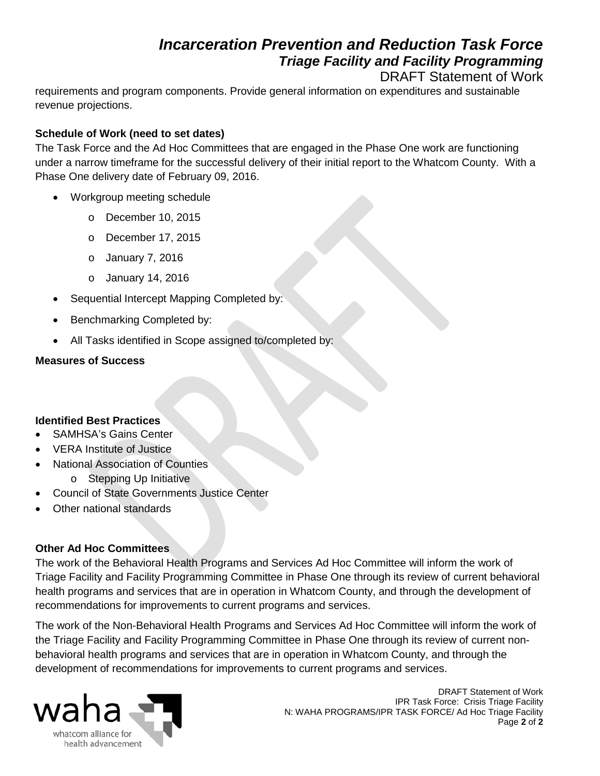## *Incarceration Prevention and Reduction Task Force Triage Facility and Facility Programming*

DRAFT Statement of Work

requirements and program components. Provide general information on expenditures and sustainable revenue projections.

#### **Schedule of Work (need to set dates)**

The Task Force and the Ad Hoc Committees that are engaged in the Phase One work are functioning under a narrow timeframe for the successful delivery of their initial report to the Whatcom County. With a Phase One delivery date of February 09, 2016.

- Workgroup meeting schedule
	- o December 10, 2015
	- o December 17, 2015
	- o January 7, 2016
	- o January 14, 2016
- Sequential Intercept Mapping Completed by:
- Benchmarking Completed by:
- All Tasks identified in Scope assigned to/completed by:

#### **Measures of Success**

#### **Identified Best Practices**

- SAMHSA's Gains Center
- VERA Institute of Justice
- National Association of Counties
	- o Stepping Up Initiative
- Council of State Governments Justice Center
- Other national standards

#### **Other Ad Hoc Committees**

The work of the Behavioral Health Programs and Services Ad Hoc Committee will inform the work of Triage Facility and Facility Programming Committee in Phase One through its review of current behavioral health programs and services that are in operation in Whatcom County, and through the development of recommendations for improvements to current programs and services.

The work of the Non-Behavioral Health Programs and Services Ad Hoc Committee will inform the work of the Triage Facility and Facility Programming Committee in Phase One through its review of current nonbehavioral health programs and services that are in operation in Whatcom County, and through the development of recommendations for improvements to current programs and services.



DRAFT Statement of Work IPR Task Force: Crisis Triage Facility N: WAHA PROGRAMS/IPR TASK FORCE/ Ad Hoc Triage Facility Page **2** of **2**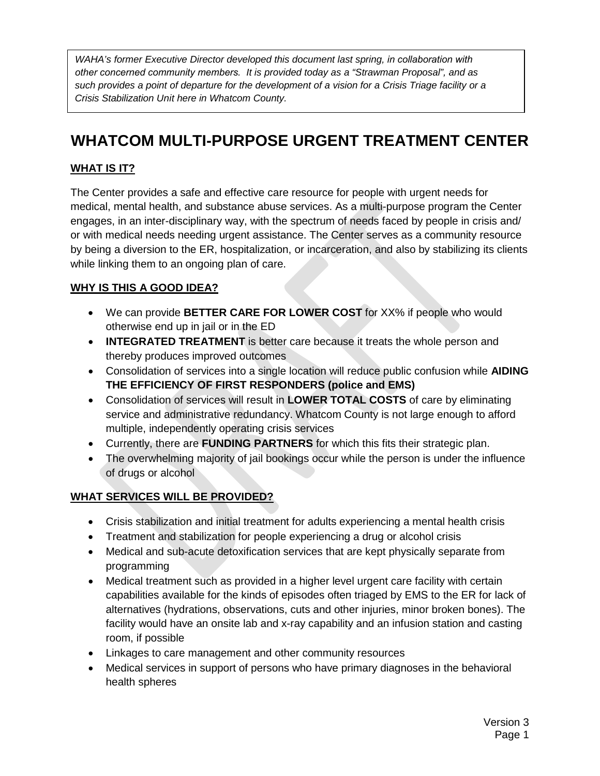*WAHA's former Executive Director developed this document last spring, in collaboration with other concerned community members. It is provided today as a "Strawman Proposal", and as such provides a point of departure for the development of a vision for a Crisis Triage facility or a Crisis Stabilization Unit here in Whatcom County.* 

# **WHATCOM MULTI-PURPOSE URGENT TREATMENT CENTER**

#### **WHAT IS IT?**

The Center provides a safe and effective care resource for people with urgent needs for medical, mental health, and substance abuse services. As a multi-purpose program the Center engages, in an inter-disciplinary way, with the spectrum of needs faced by people in crisis and/ or with medical needs needing urgent assistance. The Center serves as a community resource by being a diversion to the ER, hospitalization, or incarceration, and also by stabilizing its clients while linking them to an ongoing plan of care.

#### **WHY IS THIS A GOOD IDEA?**

- We can provide **BETTER CARE FOR LOWER COST** for XX% if people who would otherwise end up in jail or in the ED
- **INTEGRATED TREATMENT** is better care because it treats the whole person and thereby produces improved outcomes
- Consolidation of services into a single location will reduce public confusion while **AIDING THE EFFICIENCY OF FIRST RESPONDERS (police and EMS)**
- Consolidation of services will result in **LOWER TOTAL COSTS** of care by eliminating service and administrative redundancy. Whatcom County is not large enough to afford multiple, independently operating crisis services
- Currently, there are **FUNDING PARTNERS** for which this fits their strategic plan.
- The overwhelming majority of jail bookings occur while the person is under the influence of drugs or alcohol

#### **WHAT SERVICES WILL BE PROVIDED?**

- Crisis stabilization and initial treatment for adults experiencing a mental health crisis
- Treatment and stabilization for people experiencing a drug or alcohol crisis
- Medical and sub-acute detoxification services that are kept physically separate from programming
- Medical treatment such as provided in a higher level urgent care facility with certain capabilities available for the kinds of episodes often triaged by EMS to the ER for lack of alternatives (hydrations, observations, cuts and other injuries, minor broken bones). The facility would have an onsite lab and x-ray capability and an infusion station and casting room, if possible
- Linkages to care management and other community resources
- Medical services in support of persons who have primary diagnoses in the behavioral health spheres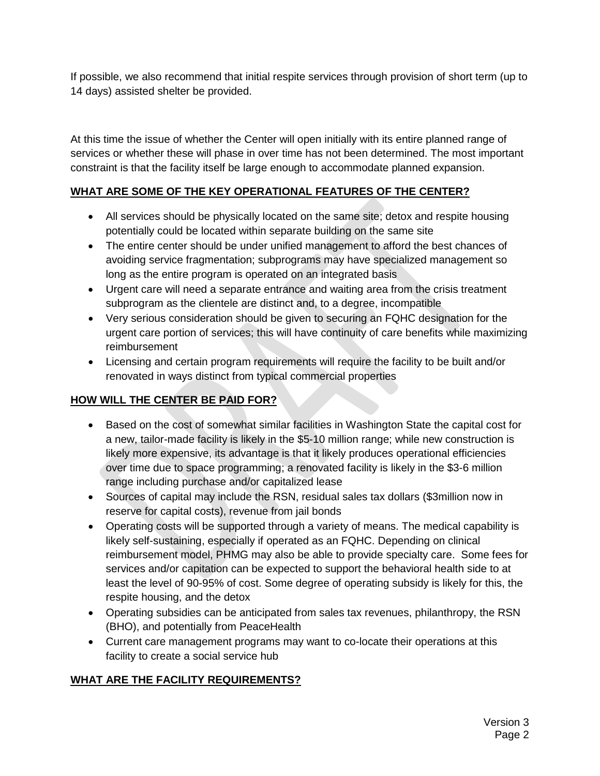If possible, we also recommend that initial respite services through provision of short term (up to 14 days) assisted shelter be provided.

At this time the issue of whether the Center will open initially with its entire planned range of services or whether these will phase in over time has not been determined. The most important constraint is that the facility itself be large enough to accommodate planned expansion.

#### **WHAT ARE SOME OF THE KEY OPERATIONAL FEATURES OF THE CENTER?**

- All services should be physically located on the same site; detox and respite housing potentially could be located within separate building on the same site
- The entire center should be under unified management to afford the best chances of avoiding service fragmentation; subprograms may have specialized management so long as the entire program is operated on an integrated basis
- Urgent care will need a separate entrance and waiting area from the crisis treatment subprogram as the clientele are distinct and, to a degree, incompatible
- Very serious consideration should be given to securing an FQHC designation for the urgent care portion of services; this will have continuity of care benefits while maximizing reimbursement
- Licensing and certain program requirements will require the facility to be built and/or renovated in ways distinct from typical commercial properties

#### **HOW WILL THE CENTER BE PAID FOR?**

- Based on the cost of somewhat similar facilities in Washington State the capital cost for a new, tailor-made facility is likely in the \$5-10 million range; while new construction is likely more expensive, its advantage is that it likely produces operational efficiencies over time due to space programming; a renovated facility is likely in the \$3-6 million range including purchase and/or capitalized lease
- Sources of capital may include the RSN, residual sales tax dollars (\$3million now in reserve for capital costs), revenue from jail bonds
- Operating costs will be supported through a variety of means. The medical capability is likely self-sustaining, especially if operated as an FQHC. Depending on clinical reimbursement model, PHMG may also be able to provide specialty care. Some fees for services and/or capitation can be expected to support the behavioral health side to at least the level of 90-95% of cost. Some degree of operating subsidy is likely for this, the respite housing, and the detox
- Operating subsidies can be anticipated from sales tax revenues, philanthropy, the RSN (BHO), and potentially from PeaceHealth
- Current care management programs may want to co-locate their operations at this facility to create a social service hub

#### **WHAT ARE THE FACILITY REQUIREMENTS?**